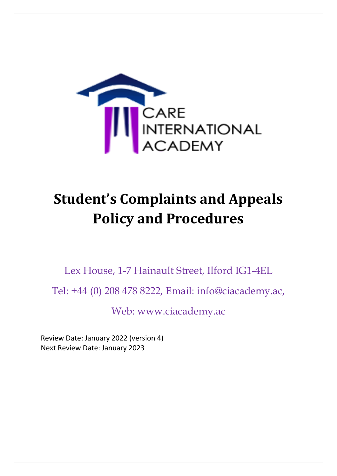

# **Student's Complaints and Appeals Policy and Procedures**

Lex House, 1-7 Hainault Street, Ilford IG1-4EL

Tel: +44 (0) 208 478 8222, Email: info@ciacademy.ac,

Web: www.ciacademy.ac

Review Date: January 2022 (version 4) Next Review Date: January 2023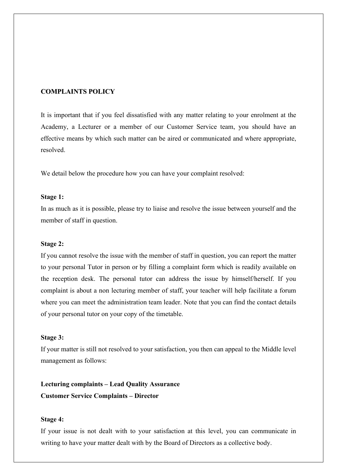## **COMPLAINTS POLICY**

It is important that if you feel dissatisfied with any matter relating to your enrolment at the Academy, a Lecturer or a member of our Customer Service team, you should have an effective means by which such matter can be aired or communicated and where appropriate, resolved.

We detail below the procedure how you can have your complaint resolved:

#### **Stage 1:**

In as much as it is possible, please try to liaise and resolve the issue between yourself and the member of staff in question.

#### **Stage 2:**

If you cannot resolve the issue with the member of staff in question, you can report the matter to your personal Tutor in person or by filling a complaint form which is readily available on the reception desk. The personal tutor can address the issue by himself/herself. If you complaint is about a non lecturing member of staff, your teacher will help facilitate a forum where you can meet the administration team leader. Note that you can find the contact details of your personal tutor on your copy of the timetable.

#### **Stage 3:**

If your matter is still not resolved to your satisfaction, you then can appeal to the Middle level management as follows:

**Lecturing complaints – Lead Quality Assurance Customer Service Complaints – Director**

#### **Stage 4:**

If your issue is not dealt with to your satisfaction at this level, you can communicate in writing to have your matter dealt with by the Board of Directors as a collective body.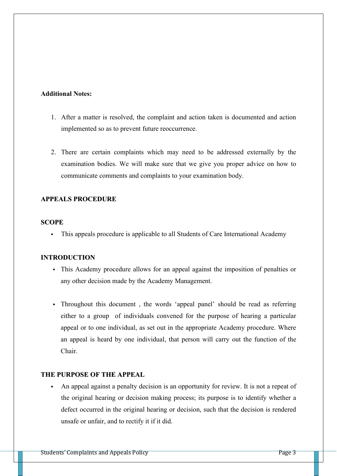### **Additional Notes:**

- 1. After a matter is resolved, the complaint and action taken is documented and action implemented so as to prevent future reoccurrence.
- 2. There are certain complaints which may need to be addressed externally by the examination bodies. We will make sure that we give you proper advice on how to communicate comments and complaints to your examination body.

# **APPEALS PROCEDURE**

## **SCOPE**

This appeals procedure is applicable to all Students of Care International Academy

# **INTRODUCTION**

- This Academy procedure allows for an appeal against the imposition of penalties or any other decision made by the Academy Management.
- Throughout this document , the words 'appeal panel' should be read as referring either to a group of individuals convened for the purpose of hearing a particular appeal or to one individual, as set out in the appropriate Academy procedure. Where an appeal is heard by one individual, that person will carry out the function of the Chair.

# **THE PURPOSE OF THE APPEAL**

 An appeal against a penalty decision is an opportunity for review. It is not a repeat of the original hearing or decision making process; its purpose is to identify whether a defect occurred in the original hearing or decision, such that the decision is rendered unsafe or unfair, and to rectify it if it did.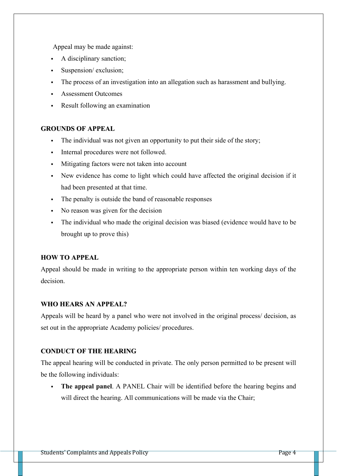Appeal may be made against:

- A disciplinary sanction;
- Suspension/ exclusion;
- The process of an investigation into an allegation such as harassment and bullying.
- Assessment Outcomes
- Result following an examination

## **GROUNDS OF APPEAL**

- The individual was not given an opportunity to put their side of the story;
- Internal procedures were not followed.
- Mitigating factors were not taken into account
- New evidence has come to light which could have affected the original decision if it had been presented at that time.
- The penalty is outside the band of reasonable responses
- No reason was given for the decision
- The individual who made the original decision was biased (evidence would have to be brought up to prove this)

# **HOW TO APPEAL**

Appeal should be made in writing to the appropriate person within ten working days of the decision.

# **WHO HEARS AN APPEAL?**

Appeals will be heard by a panel who were not involved in the original process/ decision, as set out in the appropriate Academy policies/ procedures.

# **CONDUCT OF THE HEARING**

The appeal hearing will be conducted in private. The only person permitted to be present will be the following individuals:

 **The appeal panel**. A PANEL Chair will be identified before the hearing begins and will direct the hearing. All communications will be made via the Chair;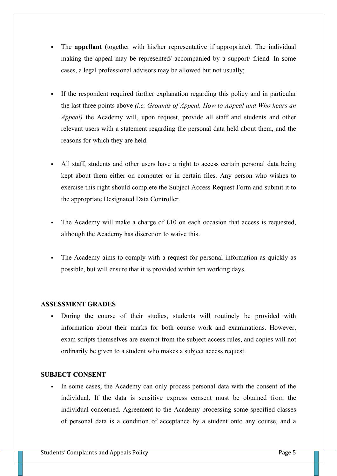- The **appellant (**together with his/her representative if appropriate). The individual making the appeal may be represented/ accompanied by a support/ friend. In some cases, a legal professional advisors may be allowed but not usually;
- If the respondent required further explanation regarding this policy and in particular the last three points above *(i.e. Grounds of Appeal, How to Appeal and Who hears an Appeal)* the Academy will, upon request, provide all staff and students and other relevant users with a statement regarding the personal data held about them, and the reasons for which they are held.
- All staff, students and other users have a right to access certain personal data being kept about them either on computer or in certain files. Any person who wishes to exercise this right should complete the Subject Access Request Form and submit it to the appropriate Designated Data Controller.
- The Academy will make a charge of  $£10$  on each occasion that access is requested, although the Academy has discretion to waive this.
- The Academy aims to comply with a request for personal information as quickly as possible, but will ensure that it is provided within ten working days.

# **ASSESSMENT GRADES**

 During the course of their studies, students will routinely be provided with information about their marks for both course work and examinations. However, exam scripts themselves are exempt from the subject access rules, and copies will not ordinarily be given to a student who makes a subject access request.

#### **SUBJECT CONSENT**

In some cases, the Academy can only process personal data with the consent of the individual. If the data is sensitive express consent must be obtained from the individual concerned. Agreement to the Academy processing some specified classes of personal data is a condition of acceptance by a student onto any course, and a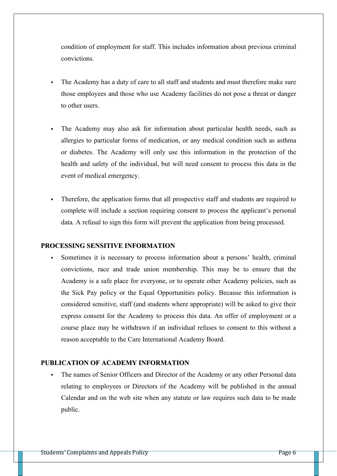condition of employment for staff. This includes information about previous criminal convictions.

- The Academy has a duty of care to all staff and students and must therefore make sure those employees and those who use Academy facilities do not pose a threat or danger to other users.
- The Academy may also ask for information about particular health needs, such as allergies to particular forms of medication, or any medical condition such as asthma or diabetes. The Academy will only use this information in the protection of the health and safety of the individual, but will need consent to process this data in the event of medical emergency.
- Therefore, the application forms that all prospective staff and students are required to complete will include a section requiring consent to process the applicant's personal data. A refusal to sign this form will prevent the application from being processed.

#### **PROCESSING SENSITIVE INFORMATION**

 Sometimes it is necessary to process information about a persons' health, criminal convictions, race and trade union membership. This may be to ensure that the Academy is a safe place for everyone, or to operate other Academy policies, such as the Sick Pay policy or the Equal Opportunities policy. Because this information is considered sensitive, staff (and students where appropriate) will be asked to give their express consent for the Academy to process this data. An offer of employment or a course place may be withdrawn if an individual refuses to consent to this without a reason acceptable to the Care International Academy Board.

# **PUBLICATION OF ACADEMY INFORMATION**

 The names of Senior Officers and Director of the Academy or any other Personal data relating to employees or Directors of the Academy will be published in the annual Calendar and on the web site when any statute or law requires such data to be made public.